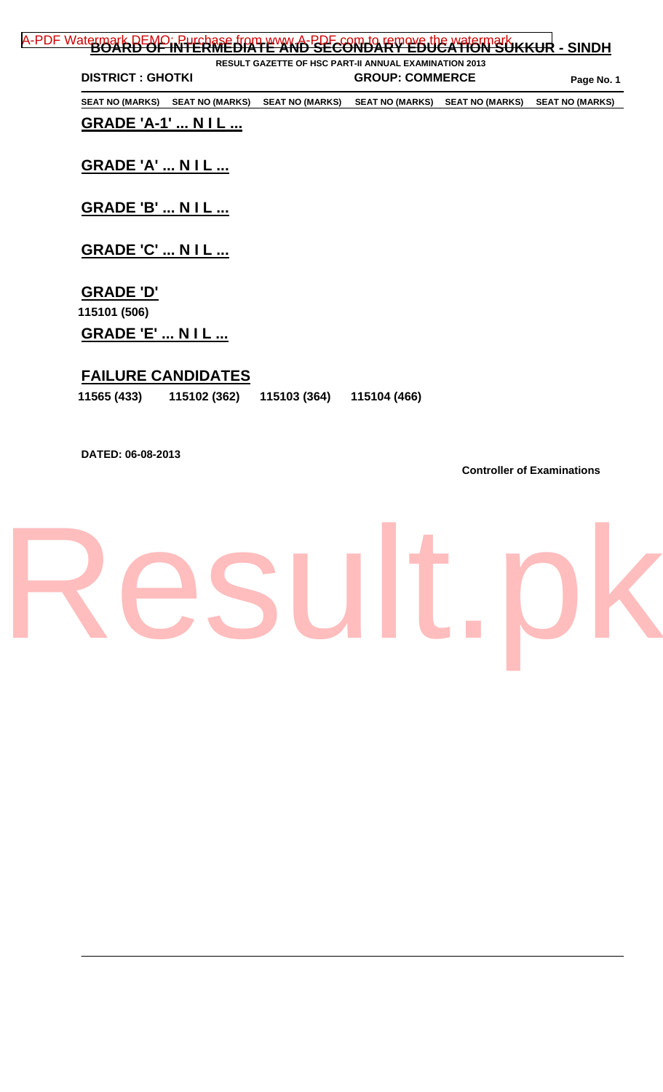| <b>DISTRICT: GHOTKI</b>  |                        | <b>RESULT GAZETTE OF HSC PART-II ANNUAL EXAMINATION 2013</b> | <b>GROUP: COMMERCE</b> |                        |                        |
|--------------------------|------------------------|--------------------------------------------------------------|------------------------|------------------------|------------------------|
|                          |                        |                                                              |                        |                        | Page No. 1             |
| <b>SEAT NO (MARKS)</b>   | <b>SEAT NO (MARKS)</b> | <b>SEAT NO (MARKS)</b>                                       | <b>SEAT NO (MARKS)</b> | <b>SEAT NO (MARKS)</b> | <b>SEAT NO (MARKS)</b> |
| <b>GRADE 'A-1'  NIL </b> |                        |                                                              |                        |                        |                        |
|                          |                        |                                                              |                        |                        |                        |
| <b>GRADE 'A'  N I L </b> |                        |                                                              |                        |                        |                        |
|                          |                        |                                                              |                        |                        |                        |
| <b>GRADE 'B'  N I L </b> |                        |                                                              |                        |                        |                        |
|                          |                        |                                                              |                        |                        |                        |
| <b>GRADE 'C'  N I L </b> |                        |                                                              |                        |                        |                        |
|                          |                        |                                                              |                        |                        |                        |
|                          |                        |                                                              |                        |                        |                        |
| <b>GRADE 'D'</b>         |                        |                                                              |                        |                        |                        |
| 115101 (506)             |                        |                                                              |                        |                        |                        |
| <b>GRADE 'E'  N I L </b> |                        |                                                              |                        |                        |                        |

### **FAILURE CANDIDATES**

| 11565 (433) | 115102 (362) | 115103 (364) | 115104 (466) |  |
|-------------|--------------|--------------|--------------|--|
|             |              |              |              |  |

**DATED: 06-08-2013** 

**Controller of Examinations** 

### Result.p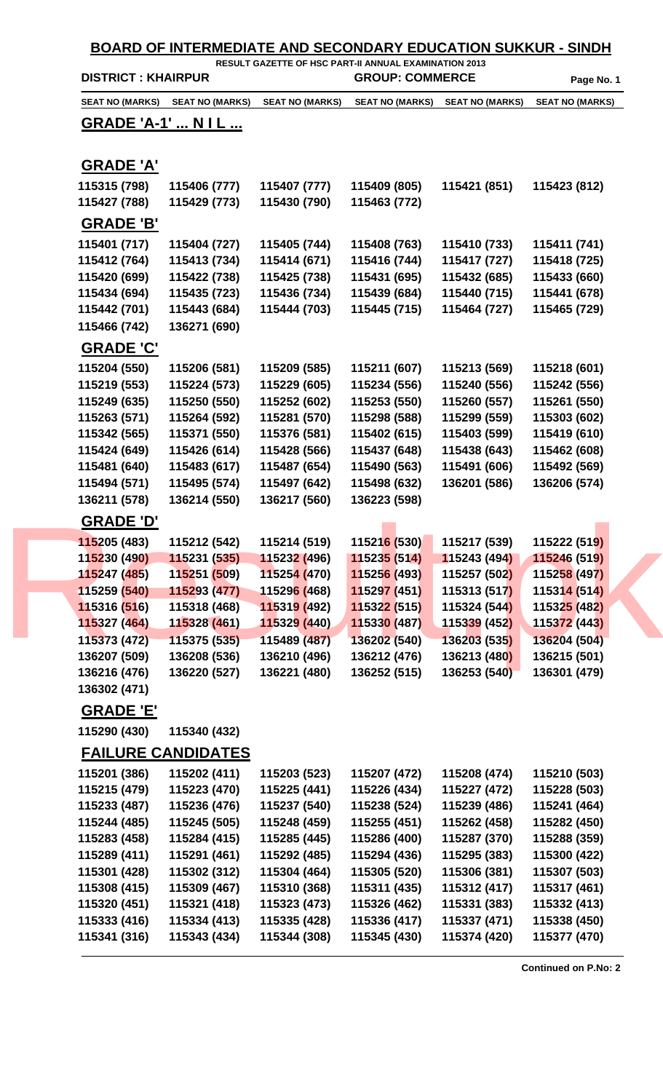|                                  | <b>DISTRICT: KHAIRPUR</b> |                             | RESULT GAZETTE OF HSC PART-II ANNUAL EXAMINATION 2013<br><b>GROUP: COMMERCE</b> |                        |                                      |
|----------------------------------|---------------------------|-----------------------------|---------------------------------------------------------------------------------|------------------------|--------------------------------------|
| <b>SEAT NO (MARKS)</b>           | <b>SEAT NO (MARKS)</b>    | <b>SEAT NO (MARKS)</b>      | <b>SEAT NO (MARKS)</b>                                                          | <b>SEAT NO (MARKS)</b> | Page No. 1<br><b>SEAT NO (MARKS)</b> |
|                                  |                           |                             |                                                                                 |                        |                                      |
| <u> GRADE 'A-1'  N I L </u>      |                           |                             |                                                                                 |                        |                                      |
| <b>GRADE 'A'</b>                 |                           |                             |                                                                                 |                        |                                      |
| 115315 (798)                     | 115406 (777)              | 115407 (777)                | 115409 (805)                                                                    | 115421 (851)           | 115423 (812)                         |
| 115427 (788)                     | 115429 (773)              | 115430 (790)                | 115463 (772)                                                                    |                        |                                      |
| <b>GRADE 'B'</b>                 |                           |                             |                                                                                 |                        |                                      |
| 115401 (717)                     | 115404 (727)              | 115405 (744)                | 115408 (763)                                                                    | 115410 (733)           | 115411 (741)                         |
| 115412 (764)                     | 115413 (734)              | 115414 (671)                | 115416 (744)                                                                    | 115417 (727)           | 115418 (725)                         |
| 115420 (699)                     | 115422 (738)              | 115425 (738)                | 115431 (695)                                                                    | 115432 (685)           | 115433 (660)                         |
| 115434 (694)                     | 115435 (723)              | 115436 (734)                | 115439 (684)                                                                    | 115440 (715)           | 115441 (678)                         |
| 115442 (701)                     | 115443 (684)              | 115444 (703)                | 115445 (715)                                                                    | 115464 (727)           | 115465 (729)                         |
| 115466 (742)                     | 136271 (690)              |                             |                                                                                 |                        |                                      |
| <b>GRADE 'C'</b>                 |                           |                             |                                                                                 |                        |                                      |
| 115204 (550)                     | 115206 (581)              | 115209 (585)                | 115211 (607)                                                                    | 115213 (569)           | 115218 (601)                         |
| 115219 (553)                     | 115224 (573)              | 115229 (605)                | 115234 (556)                                                                    | 115240 (556)           | 115242 (556)                         |
| 115249 (635)                     | 115250 (550)              | 115252 (602)                | 115253 (550)                                                                    | 115260 (557)           | 115261 (550)                         |
| 115263 (571)                     | 115264 (592)              | 115281 (570)                | 115298 (588)                                                                    | 115299 (559)           | 115303 (602)                         |
| 115342 (565)                     | 115371 (550)              | 115376 (581)                | 115402 (615)                                                                    | 115403 (599)           | 115419 (610)                         |
| 115424 (649)                     | 115426 (614)              | 115428 (566)                | 115437 (648)                                                                    | 115438 (643)           | 115462 (608)                         |
| 115481 (640)                     | 115483 (617)              | 115487 (654)                | 115490 (563)                                                                    | 115491 (606)           | 115492 (569)                         |
| 115494 (571)                     | 115495 (574)              | 115497 (642)                | 115498 (632)                                                                    | 136201 (586)           | 136206 (574)                         |
| 136211 (578)                     | 136214 (550)              | 136217 (560)                | 136223 (598)                                                                    |                        |                                      |
| <u>GRADE 'D'</u>                 |                           |                             |                                                                                 |                        |                                      |
| 115205 (483)                     | 115212 (542)              | 115214 (519)                | 115216 (530)                                                                    | 115217 (539)           | 115222 (519)                         |
| 115230 (490)                     | 115231 (535)              | 115232 (496)                | 115235 (514)                                                                    | 115243 (494)           | 115246 (519)                         |
| 115247 (485)                     | 115251 (509)              | 115254 (470)                | 115256 (493)                                                                    | 115257 (502)           | 115258 (497)                         |
| 115259 (540)                     | 115293 (477)              | 11529 <mark>6 (</mark> 468) | 115297 (451)                                                                    | 115313 (517)           | 115314 (514)                         |
| 115316 (516)                     | 115318 (468)              | 115319 (492)                | 115322 (515)                                                                    | 115324 (544)           | 115325 (482)                         |
| 115327 (464)                     | 115328 (461)              | 115329 (440)                | 115330 (487)                                                                    | 115339 (452)           | 115372 (443)                         |
| 115373 (472)                     | 115375 (535)              | 115489 (487)                | 136202 (540)                                                                    | 136203 (535)           | 136204 (504)                         |
| 136207 (509)                     | 136208 (536)              | 136210 (496)                | 136212 (476)                                                                    | 136213 (480)           | 136215 (501)                         |
| 136216 (476)                     | 136220 (527)              | 136221 (480)                | 136252 (515)                                                                    | 136253 (540)           | 136301 (479)                         |
| 136302 (471)<br><b>GRADE 'E'</b> |                           |                             |                                                                                 |                        |                                      |
| 115290 (430)                     | 115340 (432)              |                             |                                                                                 |                        |                                      |
|                                  | <b>FAILURE CANDIDATES</b> |                             |                                                                                 |                        |                                      |
| 115201 (386)                     | 115202 (411)              | 115203 (523)                | 115207 (472)                                                                    | 115208 (474)           | 115210 (503)                         |
| 115215 (479)                     | 115223 (470)              | 115225 (441)                | 115226 (434)                                                                    | 115227 (472)           | 115228 (503)                         |
| 115233 (487)                     | 115236 (476)              | 115237 (540)                | 115238 (524)                                                                    | 115239 (486)           | 115241 (464)                         |
| 115244 (485)                     | 115245 (505)              | 115248 (459)                | 115255 (451)                                                                    | 115262 (458)           | 115282 (450)                         |
| 115283 (458)                     | 115284 (415)              | 115285 (445)                | 115286 (400)                                                                    | 115287 (370)           | 115288 (359)                         |
| 115289 (411)                     | 115291 (461)              | 115292 (485)                | 115294 (436)                                                                    | 115295 (383)           | 115300 (422)                         |
| 115301 (428)                     | 115302 (312)              | 115304 (464)                | 115305 (520)                                                                    | 115306 (381)           | 115307 (503)                         |
| 115308 (415)                     | 115309 (467)              | 115310 (368)                | 115311 (435)                                                                    | 115312 (417)           | 115317 (461)                         |
| 115320 (451)                     | 115321 (418)              | 115323 (473)                | 115326 (462)                                                                    | 115331 (383)           | 115332 (413)                         |
| 115333 (416)                     | 115334 (413)              | 115335 (428)                | 115336 (417)                                                                    | 115337 (471)           | 115338 (450)                         |
| 115341 (316)                     | 115343 (434)              | 115344 (308)                | 115345 (430)                                                                    | 115374 (420)           | 115377 (470)                         |

**Continued on P.No: 2**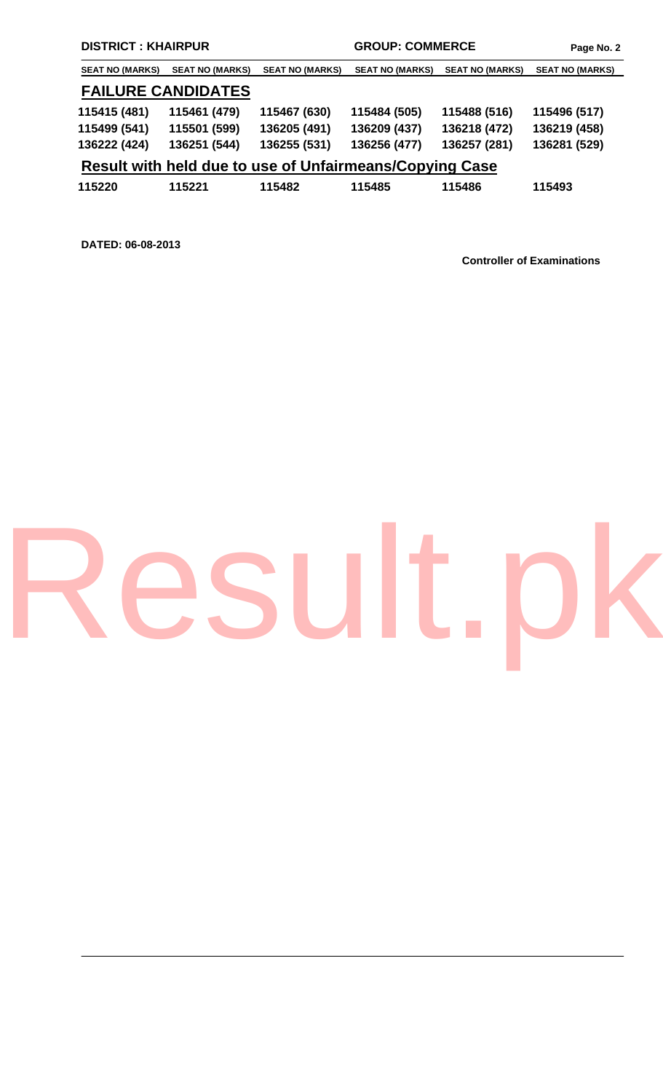| <b>SEAT NO (MARKS)</b> | <b>SEAT NO (MARKS)</b>    | <b>SEAT NO (MARKS)</b> | <b>SEAT NO (MARKS)</b>                                  | <b>SEAT NO (MARKS)</b> | <b>SEAT NO (MARKS)</b> |
|------------------------|---------------------------|------------------------|---------------------------------------------------------|------------------------|------------------------|
|                        | <b>FAILURE CANDIDATES</b> |                        |                                                         |                        |                        |
| 115415 (481)           | 115461 (479)              | 115467 (630)           | 115484 (505)                                            | 115488 (516)           | 115496 (517)           |
| 115499 (541)           | 115501 (599)              | 136205 (491)           | 136209 (437)                                            | 136218 (472)           | 136219 (458)           |
| 136222 (424)           | 136251 (544)              | 136255 (531)           | 136256 (477)                                            | 136257 (281)           | 136281 (529)           |
|                        |                           |                        | Result with held due to use of Unfairmeans/Copying Case |                        |                        |
| 115220                 | 115221                    | 115482                 | 115485                                                  | 115486                 | 115493                 |

**DATED: 06-08-2013** 

**Controller of Examinations** 

# [Result.pk](http://www.result.pk)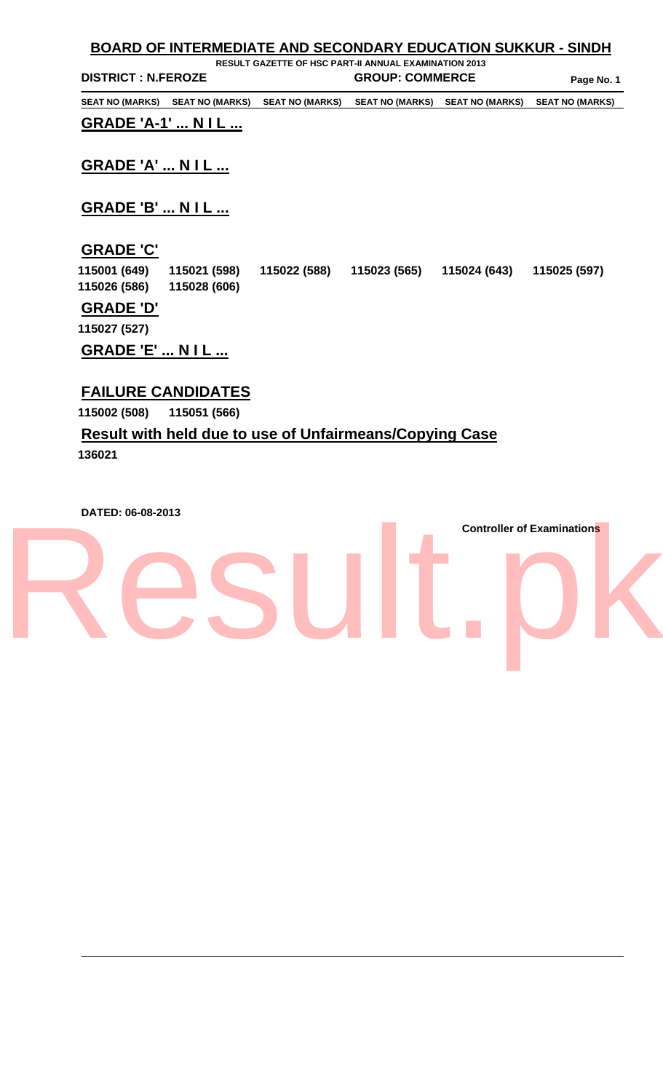|                            | <b>BOARD OF INTERMEDIATE AND SECONDARY EDUCATION SUKKUR - SINDH</b> |                        |                        |                        |  |  |  |  |
|----------------------------|---------------------------------------------------------------------|------------------------|------------------------|------------------------|--|--|--|--|
|                            | <b>RESULT GAZETTE OF HSC PART-II ANNUAL EXAMINATION 2013</b>        |                        |                        |                        |  |  |  |  |
| <b>DISTRICT : N.FEROZE</b> |                                                                     | <b>GROUP: COMMERCE</b> |                        | Page No. 1             |  |  |  |  |
| <b>SEAT NO (MARKS)</b>     | <b>SEAT NO (MARKS)</b><br><b>SEAT NO (MARKS)</b>                    | <b>SEAT NO (MARKS)</b> | <b>SEAT NO (MARKS)</b> | <b>SEAT NO (MARKS)</b> |  |  |  |  |
| <b>GRADE 'A-1'  NIL </b>   |                                                                     |                        |                        |                        |  |  |  |  |
| <b>GRADE 'A'  N I L </b>   |                                                                     |                        |                        |                        |  |  |  |  |
| <b>GRADE 'B'  NIL </b>     |                                                                     |                        |                        |                        |  |  |  |  |
| <b>GRADE 'C'</b>           |                                                                     |                        |                        |                        |  |  |  |  |
| 115001 (649)               | 115022 (588)<br>115021 (598)                                        | 115023 (565)           | 115024 (643)           | 115025 (597)           |  |  |  |  |
| 115026 (586)               | 115028 (606)                                                        |                        |                        |                        |  |  |  |  |
| <b>GRADE 'D'</b>           |                                                                     |                        |                        |                        |  |  |  |  |
| 115027 (527)               |                                                                     |                        |                        |                        |  |  |  |  |
| <b>GRADE 'E'  NIL </b>     |                                                                     |                        |                        |                        |  |  |  |  |

### **FAILURE CANDIDATES**

**115002 (508) 115051 (566)** 

### **Result with held due to use of Unfairmeans/Copying Case**

**136021** 

**DATED: 06-08-2013** 

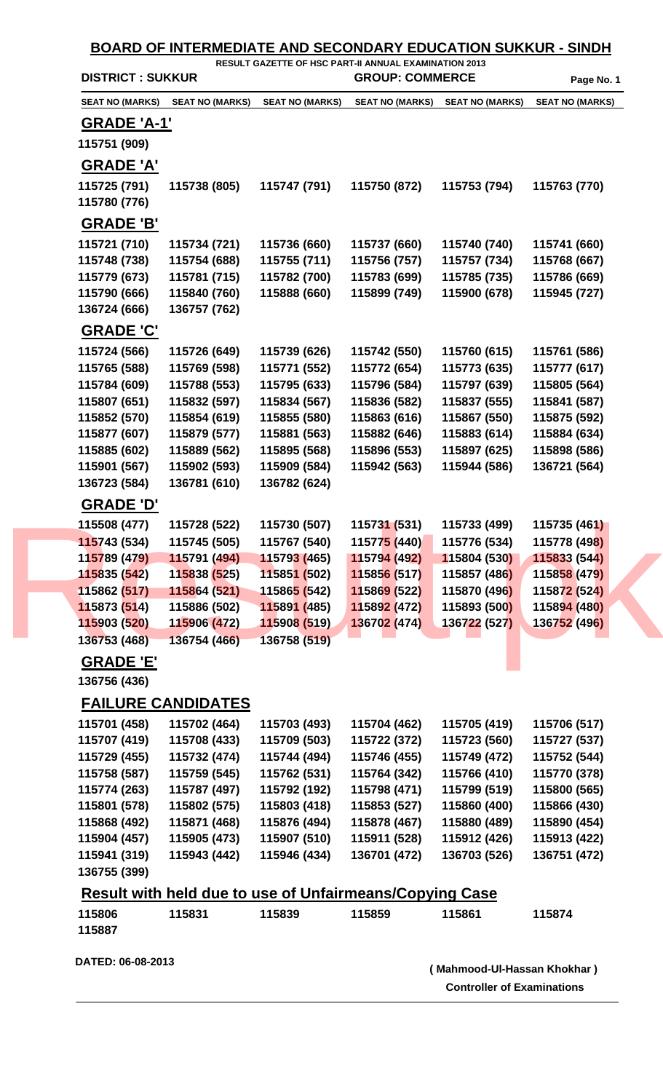| <b>SEAT NO (MARKS)</b><br><u>GRADE 'A-1'</u><br>115751 (909)<br><b>GRADE 'A'</b><br>115725 (791) | <b>SEAT NO (MARKS)</b>                                         | <b>SEAT NO (MARKS)</b>       | <b>SEAT NO (MARKS)</b>       | <b>SEAT NO (MARKS)</b>       | <b>SEAT NO (MARKS)</b>       |
|--------------------------------------------------------------------------------------------------|----------------------------------------------------------------|------------------------------|------------------------------|------------------------------|------------------------------|
|                                                                                                  |                                                                |                              |                              |                              |                              |
|                                                                                                  |                                                                |                              |                              |                              |                              |
|                                                                                                  |                                                                |                              |                              |                              |                              |
|                                                                                                  |                                                                |                              |                              |                              |                              |
|                                                                                                  | 115738 (805)                                                   | 115747 (791)                 | 115750 (872)                 | 115753 (794)                 | 115763 (770)                 |
| 115780 (776)                                                                                     |                                                                |                              |                              |                              |                              |
| <b>GRADE 'B'</b>                                                                                 |                                                                |                              |                              |                              |                              |
|                                                                                                  |                                                                |                              |                              |                              |                              |
| 115721 (710)                                                                                     | 115734 (721)                                                   | 115736 (660)                 | 115737 (660)                 | 115740 (740)                 | 115741 (660)                 |
| 115748 (738)<br>115779 (673)                                                                     | 115754 (688)<br>115781 (715)                                   | 115755 (711)<br>115782 (700) | 115756 (757)<br>115783 (699) | 115757 (734)<br>115785 (735) | 115768 (667)<br>115786 (669) |
| 115790 (666)                                                                                     | 115840 (760)                                                   | 115888 (660)                 | 115899 (749)                 | 115900 (678)                 | 115945 (727)                 |
| 136724 (666)                                                                                     | 136757 (762)                                                   |                              |                              |                              |                              |
|                                                                                                  |                                                                |                              |                              |                              |                              |
| <b>GRADE 'C'</b>                                                                                 |                                                                |                              |                              |                              |                              |
| 115724 (566)                                                                                     | 115726 (649)                                                   | 115739 (626)                 | 115742 (550)                 | 115760 (615)                 | 115761 (586)                 |
| 115765 (588)                                                                                     | 115769 (598)                                                   | 115771 (552)                 | 115772 (654)                 | 115773 (635)                 | 115777 (617)                 |
| 115784 (609)                                                                                     | 115788 (553)                                                   | 115795 (633)                 | 115796 (584)                 | 115797 (639)                 | 115805 (564)                 |
| 115807 (651)                                                                                     | 115832 (597)                                                   | 115834 (567)                 | 115836 (582)                 | 115837 (555)                 | 115841 (587)                 |
| 115852 (570)                                                                                     | 115854 (619)                                                   | 115855 (580)                 | 115863 (616)                 | 115867 (550)                 | 115875 (592)                 |
| 115877 (607)                                                                                     | 115879 (577)                                                   | 115881 (563)                 | 115882 (646)                 | 115883 (614)                 | 115884 (634)                 |
| 115885 (602)                                                                                     | 115889 (562)                                                   | 115895 (568)                 | 115896 (553)                 | 115897 (625)                 | 115898 (586)                 |
| 115901 (567)                                                                                     | 115902 (593)                                                   | 115909 (584)                 | 115942 (563)                 | 115944 (586)                 | 136721 (564)                 |
| 136723 (584)                                                                                     | 136781 (610)                                                   | 136782 (624)                 |                              |                              |                              |
| <u>GRADE 'D'</u>                                                                                 |                                                                |                              |                              |                              |                              |
| 115508 (477)                                                                                     | 115728 (522)                                                   | 115730 (507)                 | 115731 (531)                 | 115733 (499)                 | 115735 (461)                 |
| 115743 (534)                                                                                     | 115745 (505)                                                   | 115767 (540)                 | 11577 <mark>5 (</mark> 440)  | 115776 (534)                 | 115778 (498)                 |
| 115789 (479)                                                                                     | 115791 (494)                                                   | 115793 (465)                 | 115794 (492)                 | 115804 (530)                 | 115833 (544)                 |
| 115835 (542)                                                                                     | 115838 (525)                                                   | 115851 (502)                 | 115856 (517)                 | 115857 (486)                 | 115858 (479)                 |
| 115862 (517)                                                                                     | 115864 (521) 115865 (542)                                      |                              | 115869 (522)                 | 115870 (496)                 | 115872 (524)                 |
| 115873(514)                                                                                      | 115886 (502)                                                   | 115891 (485)                 | 115892 (472)                 | 115893 (500)                 | 115894 (480)                 |
| 115903 (520)                                                                                     | 115906 (472)                                                   | 115908 (519)                 | 136702 (474)                 | 136722 (527)                 | 136752 (496)                 |
| 136753 (468)                                                                                     | 136754 (466)                                                   | 136758 (519)                 |                              |                              |                              |
| <b>GRADE 'E'</b>                                                                                 |                                                                |                              |                              |                              |                              |
| 136756 (436)                                                                                     |                                                                |                              |                              |                              |                              |
|                                                                                                  |                                                                |                              |                              |                              |                              |
|                                                                                                  | <b>FAILURE CANDIDATES</b>                                      |                              |                              |                              |                              |
| 115701 (458)                                                                                     | 115702 (464)                                                   | 115703 (493)                 | 115704 (462)                 | 115705 (419)                 | 115706 (517)                 |
| 115707 (419)                                                                                     | 115708 (433)                                                   | 115709 (503)                 | 115722 (372)                 | 115723 (560)                 | 115727 (537)                 |
| 115729 (455)                                                                                     | 115732 (474)                                                   | 115744 (494)                 | 115746 (455)                 | 115749 (472)                 | 115752 (544)                 |
| 115758 (587)                                                                                     | 115759 (545)                                                   | 115762 (531)                 | 115764 (342)                 | 115766 (410)                 | 115770 (378)                 |
| 115774 (263)                                                                                     | 115787 (497)                                                   | 115792 (192)                 | 115798 (471)                 | 115799 (519)                 | 115800 (565)                 |
| 115801 (578)                                                                                     | 115802 (575)                                                   | 115803 (418)                 | 115853 (527)                 | 115860 (400)                 | 115866 (430)                 |
| 115868 (492)                                                                                     | 115871 (468)                                                   | 115876 (494)                 | 115878 (467)                 | 115880 (489)                 | 115890 (454)                 |
| 115904 (457)                                                                                     | 115905 (473)                                                   | 115907 (510)                 | 115911 (528)                 | 115912 (426)                 | 115913 (422)                 |
| 115941 (319)                                                                                     | 115943 (442)                                                   | 115946 (434)                 | 136701 (472)                 | 136703 (526)                 | 136751 (472)                 |
| 136755 (399)                                                                                     |                                                                |                              |                              |                              |                              |
|                                                                                                  | <b>Result with held due to use of Unfairmeans/Copying Case</b> |                              |                              |                              |                              |
| 115806                                                                                           | 115831                                                         | 115839                       | 115859                       | 115861                       | 115874                       |
| 115887                                                                                           |                                                                |                              |                              |                              |                              |